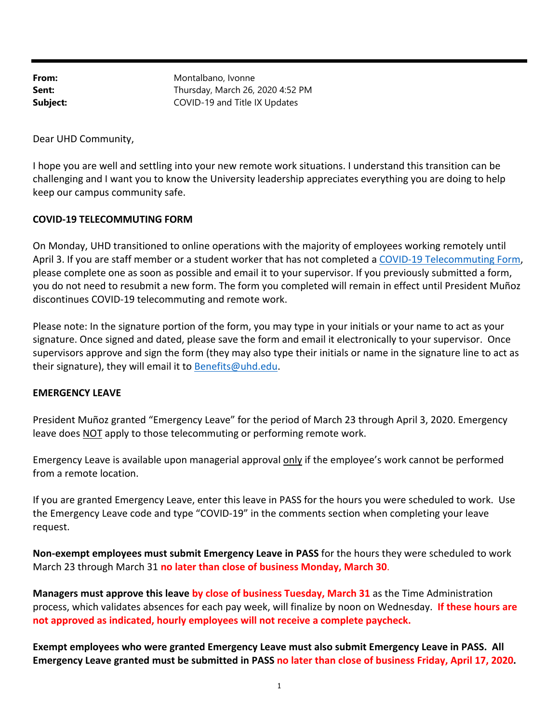From: Montalbano, Ivonne **Sent:** Thursday, March 26, 2020 4:52 PM **Subject:** COVID-19 and Title IX Updates

Dear UHD Community,

I hope you are well and settling into your new remote work situations. I understand this transition can be challenging and I want you to know the University leadership appreciates everything you are doing to help keep our campus community safe.

#### **COVID‐19 TELECOMMUTING FORM**

On Monday, UHD transitioned to online operations with the majority of employees working remotely until April 3. If you are staff member or a student worker that has not completed a COVID‐19 Telecommuting Form, please complete one as soon as possible and email it to your supervisor. If you previously submitted a form, you do not need to resubmit a new form. The form you completed will remain in effect until President Muñoz discontinues COVID‐19 telecommuting and remote work.

Please note: In the signature portion of the form, you may type in your initials or your name to act as your signature. Once signed and dated, please save the form and email it electronically to your supervisor. Once supervisors approve and sign the form (they may also type their initials or name in the signature line to act as their signature), they will email it to Benefits@uhd.edu.

#### **EMERGENCY LEAVE**

President Muñoz granted "Emergency Leave" for the period of March 23 through April 3, 2020. Emergency leave does NOT apply to those telecommuting or performing remote work.

Emergency Leave is available upon managerial approval only if the employee's work cannot be performed from a remote location.

If you are granted Emergency Leave, enter this leave in PASS for the hours you were scheduled to work. Use the Emergency Leave code and type "COVID‐19" in the comments section when completing your leave request.

**Non‐exempt employees must submit Emergency Leave in PASS** for the hours they were scheduled to work March 23 through March 31 **no later than close of business Monday, March 30**.

**Managers must approve this leave by close of business Tuesday, March 31** as the Time Administration process, which validates absences for each pay week, will finalize by noon on Wednesday. **If these hours are not approved as indicated, hourly employees will not receive a complete paycheck.** 

**Exempt employees who were granted Emergency Leave must also submit Emergency Leave in PASS. All Emergency Leave granted must be submitted in PASS no later than close of business Friday, April 17, 2020.**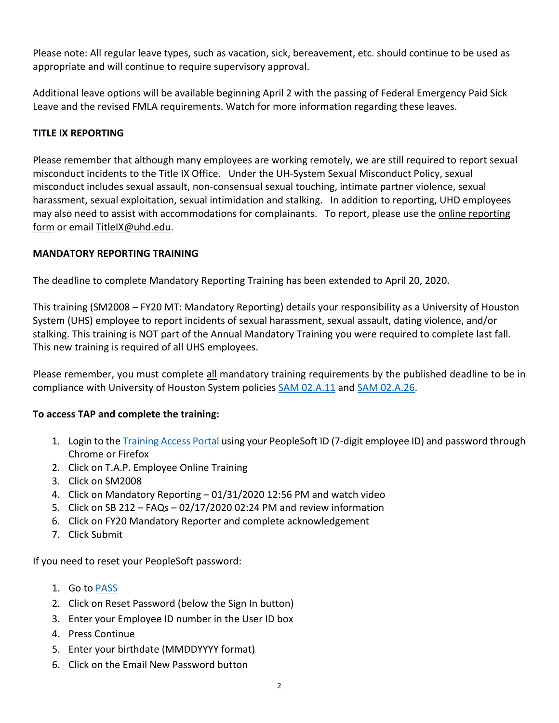Please note: All regular leave types, such as vacation, sick, bereavement, etc. should continue to be used as appropriate and will continue to require supervisory approval.

Additional leave options will be available beginning April 2 with the passing of Federal Emergency Paid Sick Leave and the revised FMLA requirements. Watch for more information regarding these leaves.

## **TITLE IX REPORTING**

Please remember that although many employees are working remotely, we are still required to report sexual misconduct incidents to the Title IX Office. Under the UH‐System Sexual Misconduct Policy, sexual misconduct includes sexual assault, non‐consensual sexual touching, intimate partner violence, sexual harassment, sexual exploitation, sexual intimidation and stalking. In addition to reporting, UHD employees may also need to assist with accommodations for complainants. To report, please use the online reporting form or email TitleIX@uhd.edu.

## **MANDATORY REPORTING TRAINING**

The deadline to complete Mandatory Reporting Training has been extended to April 20, 2020.

This training (SM2008 – FY20 MT: Mandatory Reporting) details your responsibility as a University of Houston System (UHS) employee to report incidents of sexual harassment, sexual assault, dating violence, and/or stalking. This training is NOT part of the Annual Mandatory Training you were required to complete last fall. This new training is required of all UHS employees.

Please remember, you must complete all mandatory training requirements by the published deadline to be in compliance with University of Houston System policies SAM 02.A.11 and SAM 02.A.26.

## **To access TAP and complete the training:**

- 1. Login to the Training Access Portal using your PeopleSoft ID (7-digit employee ID) and password through Chrome or Firefox
- 2. Click on T.A.P. Employee Online Training
- 3. Click on SM2008
- 4. Click on Mandatory Reporting 01/31/2020 12:56 PM and watch video
- 5. Click on SB 212 FAQs 02/17/2020 02:24 PM and review information
- 6. Click on FY20 Mandatory Reporter and complete acknowledgement
- 7. Click Submit

If you need to reset your PeopleSoft password:

- 1. Go to PASS
- 2. Click on Reset Password (below the Sign In button)
- 3. Enter your Employee ID number in the User ID box
- 4. Press Continue
- 5. Enter your birthdate (MMDDYYYY format)
- 6. Click on the Email New Password button